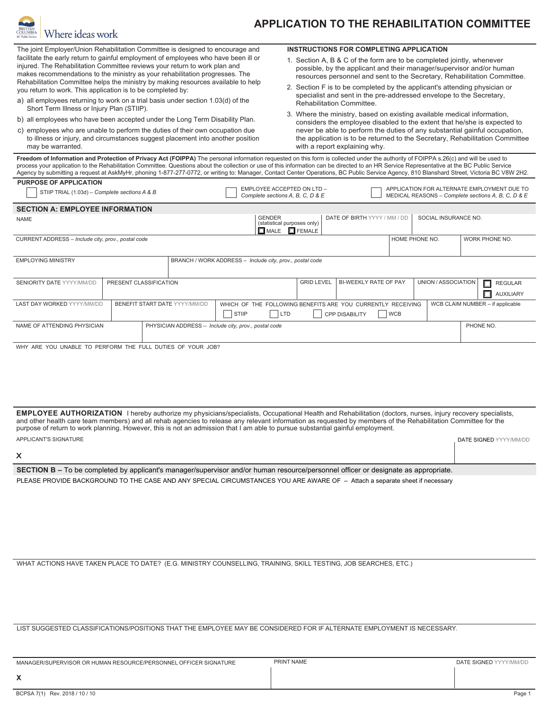

## **APPLICATION TO THE REHABILITATION COMMITTEE**

The joint Employer/Union Rehabilitation Committee is designed to encourage and facilitate the early return to gainful employment of employees who have been ill or injured. The Rehabilitation Committee reviews your return to work plan and makes recommendations to the ministry as your rehabilitation progresses. The Rehabilitation Committee helps the ministry by making resources available to help you return to work. This application is to be completed by:

- a) all employees returning to work on a trial basis under section 1.03(d) of the Short Term Illness or Injury Plan (STIIP).
- b) all employees who have been accepted under the Long Term Disability Plan.
- c) employees who are unable to perform the duties of their own occupation due to illness or injury, and circumstances suggest placement into another position may be warranted.

## **INSTRUCTIONS FOR COMPLETING APPLICATION**

- 1. Section A, B & C of the form are to be completed jointly, whenever possible, by the applicant and their manager/supervisor and/or human resources personnel and sent to the Secretary, Rehabilitation Committee.
- 2. Section F is to be completed by the applicant's attending physician or specialist and sent in the pre-addressed envelope to the Secretary, Rehabilitation Committee.
- 3. Where the ministry, based on existing available medical information, considers the employee disabled to the extent that he/she is expected to never be able to perform the duties of any substantial gainful occupation, the application is to be returned to the Secretary, Rehabilitation Committee with a report explaining why.

Freedom of Information and Protection of Privacy Act (FOIPPA) The personal information requested on this form is collected under the authority of FOIPPA s.26(c) and will be used to process your application to the Rehabilitation Committee. Questions about the collection or use of this information can be directed to an HR Service Representative at the BC Public Service Agency by submitting a request at AskMyHr, phoning 1-877-277-0772, or writing to: Manager, Contact Center Operations, BC Public Service Agency, 810 Blanshard Street, Victoria BC V8W 2H2.

| <b>PURPOSE OF APPLICATION</b><br>STIIP TRIAL (1.03d) – Complete sections A & B |                        |                                                                                                                                                                               |                                                          | EMPLOYEE ACCEPTED ON LTD -<br>Complete sections A, B, C, D & E |                                  |                |                      | APPLICATION FOR ALTERNATE EMPLOYMENT DUE TO<br>MEDICAL REASONS - Complete sections A, B, C, D & E |
|--------------------------------------------------------------------------------|------------------------|-------------------------------------------------------------------------------------------------------------------------------------------------------------------------------|----------------------------------------------------------|----------------------------------------------------------------|----------------------------------|----------------|----------------------|---------------------------------------------------------------------------------------------------|
| <b>SECTION A: EMPLOYEE INFORMATION</b>                                         |                        |                                                                                                                                                                               |                                                          |                                                                |                                  |                |                      |                                                                                                   |
| <b>NAME</b>                                                                    |                        |                                                                                                                                                                               | <b>GENDER</b>                                            | (statistical purposes only)<br>$\Box$ MALE $\Box$ FEMALE       | DATE OF BIRTH YYYY / MM / DD     |                | SOCIAL INSURANCE NO. |                                                                                                   |
| CURRENT ADDRESS - Include city, prov., postal code                             |                        |                                                                                                                                                                               |                                                          |                                                                |                                  | HOME PHONE NO. |                      | WORK PHONE NO.                                                                                    |
| <b>EMPLOYING MINISTRY</b>                                                      |                        |                                                                                                                                                                               | BRANCH / WORK ADDRESS - Include city, prov., postal code |                                                                |                                  |                |                      |                                                                                                   |
| <b>SENIORITY DATE YYYY/MM/DD</b>                                               | PRESENT CLASSIFICATION |                                                                                                                                                                               |                                                          | <b>GRID LEVEL</b>                                              | BI-WEEKLY RATE OF PAY            |                | UNION / ASSOCIATION  | п<br><b>REGULAR</b><br>п<br><b>AUXILIARY</b>                                                      |
| <b>LAST DAY WORKED YYYY/MM/DD</b>                                              |                        | <b>BENEFIT START DATE YYYY/MM/DD</b><br>WHICH OF THE FOLLOWING BENEFITS ARE YOU CURRENTLY RECEIVING<br><b>STIIP</b><br>L <sub>TD</sub><br><b>WCB</b><br><b>CPP DISABILITY</b> |                                                          |                                                                | WCB CLAIM NUMBER - if applicable |                |                      |                                                                                                   |
| NAME OF ATTENDING PHYSICIAN                                                    |                        |                                                                                                                                                                               | PHYSICIAN ADDRESS - Include city, prov., postal code     |                                                                |                                  |                |                      | PHONE NO.                                                                                         |
| WHY ARE YOU UNABLE TO PERFORM THE FULL DUTIES OF YOUR JOB?                     |                        |                                                                                                                                                                               |                                                          |                                                                |                                  |                |                      |                                                                                                   |

 **EMPLOYEE AUTHORIZATION** I hereby authorize my physicians/specialists, Occupational Health and Rehabilitation (doctors, nurses, injury recovery specialists, and other health care team members) and all rehab agencies to release any relevant information as requested by members of the Rehabilitation Committee for the purpose of return to work planning. However, this is not an admission that I am able to pursue substantial gainful employment. APPLICANT'S SIGNATURE AND A SERVER THE SIGNED YYYY/MM/DD AND A SERVER THE SIGNED YYYY/MM/DD

**X**

**SECTION B –** To be completed by applicant's manager/supervisor and/or human resource/personnel officer or designate as appropriate.

PLEASE PROVIDE BACKGROUND TO THE CASE AND ANY SPECIAL CIRCUMSTANCES YOU ARE AWARE OF – Attach a separate sheet if necessary

WHAT ACTIONS HAVE TAKEN PLACE TO DATE? (E.G. MINISTRY COUNSELLING, TRAINING, SKILL TESTING, JOB SEARCHES, ETC.)

LIST SUGGESTED CLASSIFICATIONS/POSITIONS THAT THE EMPLOYEE MAY BE CONSIDERED FOR IF ALTERNATE EMPLOYMENT IS NECESSARY.

| MANAGER/SUPERVISOR OR HUMAN RESOURCE/PERSONNEL OFFICER SIGNATURE | PRINT NAME | <b>DATE SIGNED</b> YYYY/MM/DD |
|------------------------------------------------------------------|------------|-------------------------------|
| $\boldsymbol{\mathcal{L}}$                                       |            |                               |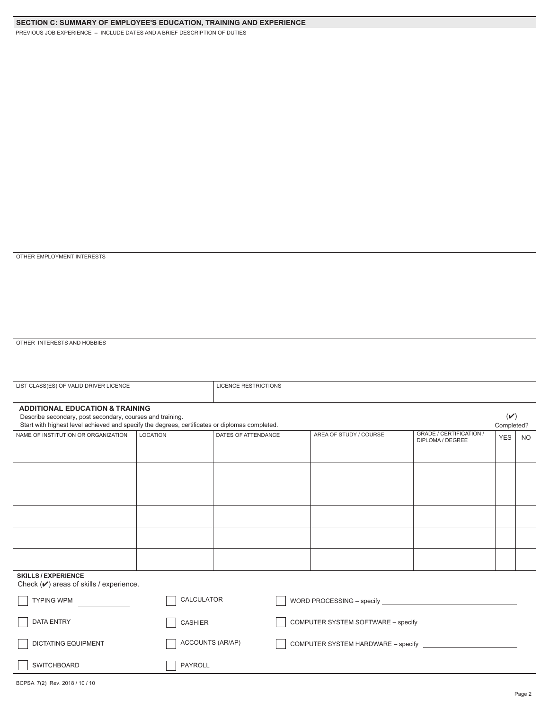PREVIOUS JOB EXPERIENCE – INCLUDE DATES AND A BRIEF DESCRIPTION OF DUTIES

## OTHER EMPLOYMENT INTERESTS

OTHER INTERESTS AND HOBBIES

| LIST CLASS(ES) OF VALID DRIVER LICENCE                                                                                                                                                                    | <b>LICENCE RESTRICTIONS</b> |                     |                                    |                                    |                                                    |                        |           |  |
|-----------------------------------------------------------------------------------------------------------------------------------------------------------------------------------------------------------|-----------------------------|---------------------|------------------------------------|------------------------------------|----------------------------------------------------|------------------------|-----------|--|
| <b>ADDITIONAL EDUCATION &amp; TRAINING</b><br>Describe secondary, post secondary, courses and training.<br>Start with highest level achieved and specify the degrees, certificates or diplomas completed. |                             |                     |                                    |                                    |                                                    | $(\vee)$<br>Completed? |           |  |
| NAME OF INSTITUTION OR ORGANIZATION                                                                                                                                                                       | <b>LOCATION</b>             | DATES OF ATTENDANCE |                                    | AREA OF STUDY / COURSE             | <b>GRADE / CERTIFICATION /</b><br>DIPLOMA / DEGREE | <b>YES</b>             | <b>NO</b> |  |
|                                                                                                                                                                                                           |                             |                     |                                    |                                    |                                                    |                        |           |  |
|                                                                                                                                                                                                           |                             |                     |                                    |                                    |                                                    |                        |           |  |
|                                                                                                                                                                                                           |                             |                     |                                    |                                    |                                                    |                        |           |  |
|                                                                                                                                                                                                           |                             |                     |                                    |                                    |                                                    |                        |           |  |
|                                                                                                                                                                                                           |                             |                     |                                    |                                    |                                                    |                        |           |  |
| <b>SKILLS/EXPERIENCE</b><br>Check $(\vee)$ areas of skills / experience.                                                                                                                                  |                             |                     |                                    |                                    |                                                    |                        |           |  |
| <b>TYPING WPM</b>                                                                                                                                                                                         | CALCULATOR                  |                     |                                    |                                    |                                                    |                        |           |  |
| <b>DATA ENTRY</b>                                                                                                                                                                                         | <b>CASHIER</b>              |                     | COMPUTER SYSTEM SOFTWARE - specify |                                    |                                                    |                        |           |  |
| <b>DICTATING EQUIPMENT</b>                                                                                                                                                                                | ACCOUNTS (AR/AP)            |                     |                                    | COMPUTER SYSTEM HARDWARE - specify |                                                    |                        |           |  |
| <b>SWITCHBOARD</b>                                                                                                                                                                                        | PAYROLL                     |                     |                                    |                                    |                                                    |                        |           |  |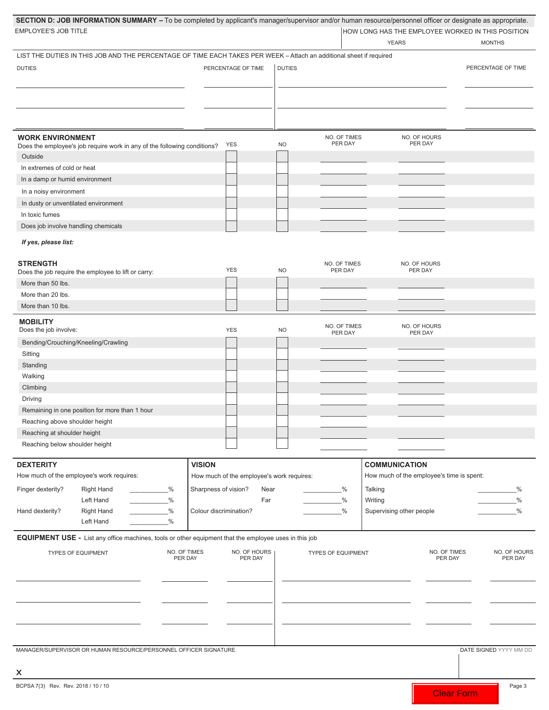| SECTION D: JOB INFORMATION SUMMARY - To be completed by applicant's manager/supervisor and/or human resource/personnel officer or designate as appropriate.<br>EMPLOYEE'S JOB TITLE |                                                            |               |                           | <b>YEARS</b>                                                      | HOW LONG HAS THE EMPLOYEE WORKED IN THIS POSITION<br><b>MONTHS</b> |
|-------------------------------------------------------------------------------------------------------------------------------------------------------------------------------------|------------------------------------------------------------|---------------|---------------------------|-------------------------------------------------------------------|--------------------------------------------------------------------|
| LIST THE DUTIES IN THIS JOB AND THE PERCENTAGE OF TIME EACH TAKES PER WEEK - Attach an additional sheet if required                                                                 |                                                            |               |                           |                                                                   |                                                                    |
| <b>DUTIES</b>                                                                                                                                                                       | PERCENTAGE OF TIME                                         | <b>DUTIES</b> |                           |                                                                   | PERCENTAGE OF TIME                                                 |
|                                                                                                                                                                                     |                                                            |               |                           |                                                                   |                                                                    |
| <b>WORK ENVIRONMENT</b><br>Does the employee's job require work in any of the following conditions?<br>Outside                                                                      | YES                                                        | <b>NO</b>     | NO. OF TIMES<br>PER DAY   | NO. OF HOURS<br>PER DAY                                           |                                                                    |
| In extremes of cold or heat                                                                                                                                                         |                                                            |               |                           |                                                                   |                                                                    |
| In a damp or humid environment                                                                                                                                                      |                                                            |               |                           |                                                                   |                                                                    |
| In a noisy environment                                                                                                                                                              |                                                            |               |                           |                                                                   |                                                                    |
| In dusty or unventilated environment                                                                                                                                                |                                                            |               |                           |                                                                   |                                                                    |
| In toxic fumes                                                                                                                                                                      |                                                            |               |                           |                                                                   |                                                                    |
| Does job involve handling chemicals                                                                                                                                                 |                                                            |               |                           |                                                                   |                                                                    |
| If yes, please list:                                                                                                                                                                |                                                            |               |                           |                                                                   |                                                                    |
| <b>STRENGTH</b><br>Does the job require the employee to lift or carry:                                                                                                              | <b>YES</b>                                                 | <b>NO</b>     | NO. OF TIMES<br>PER DAY   | NO. OF HOURS<br>PER DAY                                           |                                                                    |
| More than 50 lbs.                                                                                                                                                                   |                                                            |               |                           |                                                                   |                                                                    |
| More than 20 lbs.                                                                                                                                                                   |                                                            |               |                           |                                                                   |                                                                    |
| More than 10 lbs.                                                                                                                                                                   |                                                            |               |                           |                                                                   |                                                                    |
| <b>MOBILITY</b><br>Does the job involve:                                                                                                                                            | <b>YES</b>                                                 | <b>NO</b>     | NO. OF TIMES<br>PER DAY   | NO. OF HOURS<br>PER DAY                                           |                                                                    |
| Bending/Crouching/Kneeling/Crawling                                                                                                                                                 |                                                            |               |                           |                                                                   |                                                                    |
| Sitting                                                                                                                                                                             |                                                            |               |                           |                                                                   |                                                                    |
| Standing                                                                                                                                                                            |                                                            |               |                           |                                                                   |                                                                    |
| Walking                                                                                                                                                                             |                                                            |               |                           |                                                                   |                                                                    |
| Climbing                                                                                                                                                                            |                                                            |               |                           |                                                                   |                                                                    |
| Driving                                                                                                                                                                             |                                                            |               |                           |                                                                   |                                                                    |
| Remaining in one position for more than 1 hour                                                                                                                                      |                                                            |               |                           |                                                                   |                                                                    |
| Reaching above shoulder height                                                                                                                                                      |                                                            |               |                           |                                                                   |                                                                    |
| Reaching at shoulder height                                                                                                                                                         |                                                            |               |                           |                                                                   |                                                                    |
| Reaching below shoulder height                                                                                                                                                      |                                                            |               |                           |                                                                   |                                                                    |
| <b>DEXTERITY</b><br>How much of the employee's work requires:                                                                                                                       | <b>VISION</b><br>How much of the employee's work requires: |               |                           | <b>COMMUNICATION</b><br>How much of the employee's time is spent: |                                                                    |
|                                                                                                                                                                                     |                                                            |               |                           |                                                                   |                                                                    |
| Finger dexterity?<br><b>Right Hand</b><br>$\sim$ $\frac{\%}{\%}$<br>Left Hand<br>$\sim$ $\frac{\%}{\%}$                                                                             | Sharpness of vision?                                       | Near<br>Far   | %<br>$\frac{0}{0}$        | Talking<br>Writing                                                | %<br>$\frac{0}{0}$                                                 |
| $\%$<br>Hand dexterity?<br><b>Right Hand</b>                                                                                                                                        | Colour discrimination?                                     |               | $\frac{0}{0}$             | Supervising other people                                          | $\frac{0}{0}$                                                      |
| $\frac{0}{0}$<br>Left Hand                                                                                                                                                          |                                                            |               |                           |                                                                   |                                                                    |
|                                                                                                                                                                                     |                                                            |               |                           |                                                                   |                                                                    |
| EQUIPMENT USE - List any office machines, tools or other equipment that the employee uses in this job                                                                               |                                                            |               |                           |                                                                   |                                                                    |
| <b>TYPES OF EQUIPMENT</b>                                                                                                                                                           | NO. OF TIMES<br>NO. OF HOURS<br>PER DAY<br>PER DAY         |               | <b>TYPES OF EQUIPMENT</b> |                                                                   | NO. OF TIMES<br>NO. OF HOURS<br>PER DAY<br>PER DAY                 |
|                                                                                                                                                                                     |                                                            |               |                           |                                                                   |                                                                    |
|                                                                                                                                                                                     |                                                            |               |                           |                                                                   |                                                                    |
|                                                                                                                                                                                     |                                                            |               |                           |                                                                   |                                                                    |
| MANAGER/SUPERVISOR OR HUMAN RESOURCE/PERSONNEL OFFICER SIGNATURE                                                                                                                    |                                                            |               |                           |                                                                   | DATE SIGNED YYYY MM DD                                             |
| X                                                                                                                                                                                   |                                                            |               |                           |                                                                   |                                                                    |
| BCPSA 7(3) Rev. Rev. 2018 / 10 / 10                                                                                                                                                 |                                                            |               |                           |                                                                   | Page 3<br><b>Clear Form</b>                                        |